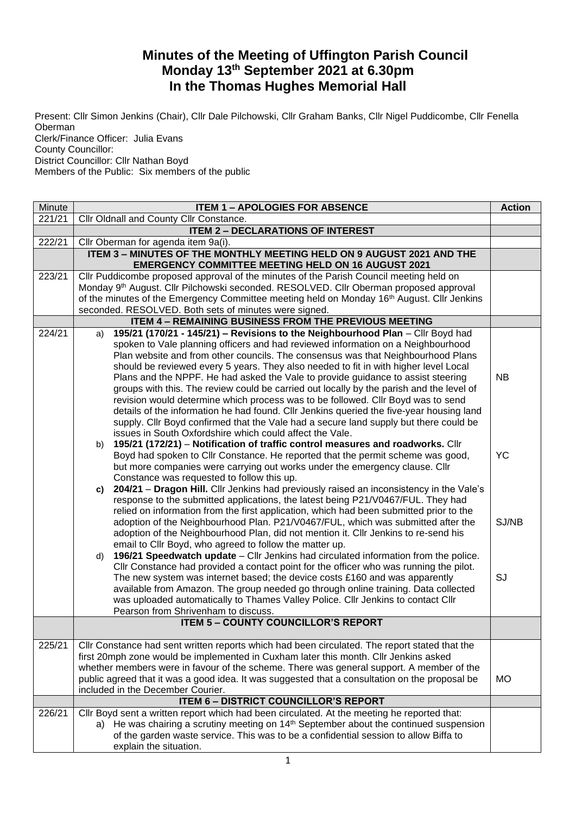## **Minutes of the Meeting of Uffington Parish Council Monday 13th September 2021 at 6.30pm In the Thomas Hughes Memorial Hall**

Present: Cllr Simon Jenkins (Chair), Cllr Dale Pilchowski, Cllr Graham Banks, Cllr Nigel Puddicombe, Cllr Fenella Oberman Clerk/Finance Officer: Julia Evans County Councillor:

District Councillor: Cllr Nathan Boyd

Members of the Public: Six members of the public

| Minute | <b>ITEM 1 - APOLOGIES FOR ABSENCE</b>                                                                                                                                                                                                                                                                                                                                                                                                                                                                                                                                                                                                                                                                                                                                                                                                                                                                                                                                                                                                                                                                                                                                                                                     |                          |  |
|--------|---------------------------------------------------------------------------------------------------------------------------------------------------------------------------------------------------------------------------------------------------------------------------------------------------------------------------------------------------------------------------------------------------------------------------------------------------------------------------------------------------------------------------------------------------------------------------------------------------------------------------------------------------------------------------------------------------------------------------------------------------------------------------------------------------------------------------------------------------------------------------------------------------------------------------------------------------------------------------------------------------------------------------------------------------------------------------------------------------------------------------------------------------------------------------------------------------------------------------|--------------------------|--|
| 221/21 | Cllr Oldnall and County Cllr Constance.                                                                                                                                                                                                                                                                                                                                                                                                                                                                                                                                                                                                                                                                                                                                                                                                                                                                                                                                                                                                                                                                                                                                                                                   |                          |  |
|        | <b>ITEM 2 - DECLARATIONS OF INTEREST</b>                                                                                                                                                                                                                                                                                                                                                                                                                                                                                                                                                                                                                                                                                                                                                                                                                                                                                                                                                                                                                                                                                                                                                                                  |                          |  |
| 222/21 | Cllr Oberman for agenda item 9a(i).                                                                                                                                                                                                                                                                                                                                                                                                                                                                                                                                                                                                                                                                                                                                                                                                                                                                                                                                                                                                                                                                                                                                                                                       |                          |  |
|        | ITEM 3 - MINUTES OF THE MONTHLY MEETING HELD ON 9 AUGUST 2021 AND THE<br><b>EMERGENCY COMMITTEE MEETING HELD ON 16 AUGUST 2021</b>                                                                                                                                                                                                                                                                                                                                                                                                                                                                                                                                                                                                                                                                                                                                                                                                                                                                                                                                                                                                                                                                                        |                          |  |
| 223/21 | Cllr Puddicombe proposed approval of the minutes of the Parish Council meeting held on<br>Monday 9th August. Cllr Pilchowski seconded. RESOLVED. Cllr Oberman proposed approval<br>of the minutes of the Emergency Committee meeting held on Monday 16 <sup>th</sup> August. Cllr Jenkins<br>seconded. RESOLVED. Both sets of minutes were signed.                                                                                                                                                                                                                                                                                                                                                                                                                                                                                                                                                                                                                                                                                                                                                                                                                                                                        |                          |  |
|        | <b>ITEM 4 - REMAINING BUSINESS FROM THE PREVIOUS MEETING</b>                                                                                                                                                                                                                                                                                                                                                                                                                                                                                                                                                                                                                                                                                                                                                                                                                                                                                                                                                                                                                                                                                                                                                              |                          |  |
| 224/21 | 195/21 (170/21 - 145/21) - Revisions to the Neighbourhood Plan - Cllr Boyd had<br>a)<br>spoken to Vale planning officers and had reviewed information on a Neighbourhood<br>Plan website and from other councils. The consensus was that Neighbourhood Plans<br>should be reviewed every 5 years. They also needed to fit in with higher level Local<br>Plans and the NPPF. He had asked the Vale to provide guidance to assist steering<br>groups with this. The review could be carried out locally by the parish and the level of<br>revision would determine which process was to be followed. Cllr Boyd was to send<br>details of the information he had found. Cllr Jenkins queried the five-year housing land<br>supply. Cllr Boyd confirmed that the Vale had a secure land supply but there could be<br>issues in South Oxfordshire which could affect the Vale.<br>195/21 (172/21) - Notification of traffic control measures and roadworks. Cllr<br>b)                                                                                                                                                                                                                                                         | <b>NB</b>                |  |
|        | Boyd had spoken to Cllr Constance. He reported that the permit scheme was good,<br>but more companies were carrying out works under the emergency clause. Cllr<br>Constance was requested to follow this up.<br>204/21 - Dragon Hill. Cllr Jenkins had previously raised an inconsistency in the Vale's<br>C)<br>response to the submitted applications, the latest being P21/V0467/FUL. They had<br>relied on information from the first application, which had been submitted prior to the<br>adoption of the Neighbourhood Plan. P21/V0467/FUL, which was submitted after the<br>adoption of the Neighbourhood Plan, did not mention it. Cllr Jenkins to re-send his<br>email to Cllr Boyd, who agreed to follow the matter up.<br>196/21 Speedwatch update - Cllr Jenkins had circulated information from the police.<br>d)<br>Cllr Constance had provided a contact point for the officer who was running the pilot.<br>The new system was internet based; the device costs £160 and was apparently<br>available from Amazon. The group needed go through online training. Data collected<br>was uploaded automatically to Thames Valley Police. Cllr Jenkins to contact Cllr<br>Pearson from Shrivenham to discuss. | <b>YC</b><br>SJ/NB<br>SJ |  |
|        | <b>ITEM 5 - COUNTY COUNCILLOR'S REPORT</b>                                                                                                                                                                                                                                                                                                                                                                                                                                                                                                                                                                                                                                                                                                                                                                                                                                                                                                                                                                                                                                                                                                                                                                                |                          |  |
| 225/21 | Cllr Constance had sent written reports which had been circulated. The report stated that the<br>first 20mph zone would be implemented in Cuxham later this month. Cllr Jenkins asked<br>whether members were in favour of the scheme. There was general support. A member of the<br>public agreed that it was a good idea. It was suggested that a consultation on the proposal be<br>included in the December Courier.                                                                                                                                                                                                                                                                                                                                                                                                                                                                                                                                                                                                                                                                                                                                                                                                  | <b>MO</b>                |  |
|        | <b>ITEM 6 - DISTRICT COUNCILLOR'S REPORT</b>                                                                                                                                                                                                                                                                                                                                                                                                                                                                                                                                                                                                                                                                                                                                                                                                                                                                                                                                                                                                                                                                                                                                                                              |                          |  |
| 226/21 | Cllr Boyd sent a written report which had been circulated. At the meeting he reported that:<br>a) He was chairing a scrutiny meeting on 14 <sup>th</sup> September about the continued suspension<br>of the garden waste service. This was to be a confidential session to allow Biffa to<br>explain the situation.                                                                                                                                                                                                                                                                                                                                                                                                                                                                                                                                                                                                                                                                                                                                                                                                                                                                                                       |                          |  |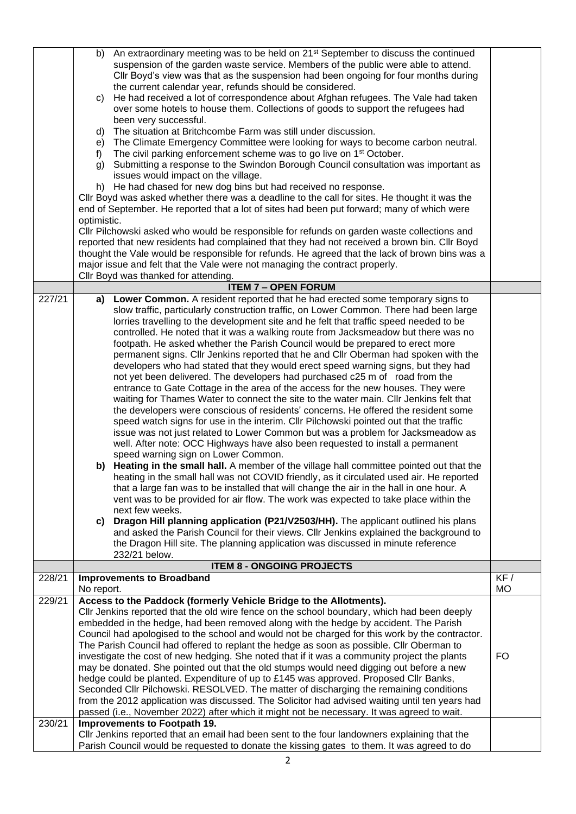|                  | b)<br>C)<br>d)<br>e)<br>f)<br>g)<br>optimistic.                                                                                                                                                                                                                                                                                                                                                                                                                                                                                                                                                                                                                                                                                                                                                                                                                                                                                                                                                                                      | An extraordinary meeting was to be held on 21 <sup>st</sup> September to discuss the continued<br>suspension of the garden waste service. Members of the public were able to attend.<br>CIIr Boyd's view was that as the suspension had been ongoing for four months during<br>the current calendar year, refunds should be considered.<br>He had received a lot of correspondence about Afghan refugees. The Vale had taken<br>over some hotels to house them. Collections of goods to support the refugees had<br>been very successful.<br>The situation at Britchcombe Farm was still under discussion.<br>The Climate Emergency Committee were looking for ways to become carbon neutral.<br>The civil parking enforcement scheme was to go live on 1 <sup>st</sup> October.<br>Submitting a response to the Swindon Borough Council consultation was important as<br>issues would impact on the village.<br>h) He had chased for new dog bins but had received no response.<br>CIIr Boyd was asked whether there was a deadline to the call for sites. He thought it was the<br>end of September. He reported that a lot of sites had been put forward; many of which were<br>CIIr Pilchowski asked who would be responsible for refunds on garden waste collections and<br>reported that new residents had complained that they had not received a brown bin. Cllr Boyd<br>thought the Vale would be responsible for refunds. He agreed that the lack of brown bins was a<br>major issue and felt that the Vale were not managing the contract properly.                                                                                                                                                                                                                                                                                                                                                                                                    |           |
|------------------|--------------------------------------------------------------------------------------------------------------------------------------------------------------------------------------------------------------------------------------------------------------------------------------------------------------------------------------------------------------------------------------------------------------------------------------------------------------------------------------------------------------------------------------------------------------------------------------------------------------------------------------------------------------------------------------------------------------------------------------------------------------------------------------------------------------------------------------------------------------------------------------------------------------------------------------------------------------------------------------------------------------------------------------|-------------------------------------------------------------------------------------------------------------------------------------------------------------------------------------------------------------------------------------------------------------------------------------------------------------------------------------------------------------------------------------------------------------------------------------------------------------------------------------------------------------------------------------------------------------------------------------------------------------------------------------------------------------------------------------------------------------------------------------------------------------------------------------------------------------------------------------------------------------------------------------------------------------------------------------------------------------------------------------------------------------------------------------------------------------------------------------------------------------------------------------------------------------------------------------------------------------------------------------------------------------------------------------------------------------------------------------------------------------------------------------------------------------------------------------------------------------------------------------------------------------------------------------------------------------------------------------------------------------------------------------------------------------------------------------------------------------------------------------------------------------------------------------------------------------------------------------------------------------------------------------------------------------------------------------------------------------------|-----------|
|                  |                                                                                                                                                                                                                                                                                                                                                                                                                                                                                                                                                                                                                                                                                                                                                                                                                                                                                                                                                                                                                                      | Cllr Boyd was thanked for attending.                                                                                                                                                                                                                                                                                                                                                                                                                                                                                                                                                                                                                                                                                                                                                                                                                                                                                                                                                                                                                                                                                                                                                                                                                                                                                                                                                                                                                                                                                                                                                                                                                                                                                                                                                                                                                                                                                                                              |           |
|                  |                                                                                                                                                                                                                                                                                                                                                                                                                                                                                                                                                                                                                                                                                                                                                                                                                                                                                                                                                                                                                                      | <b>ITEM 7 - OPEN FORUM</b>                                                                                                                                                                                                                                                                                                                                                                                                                                                                                                                                                                                                                                                                                                                                                                                                                                                                                                                                                                                                                                                                                                                                                                                                                                                                                                                                                                                                                                                                                                                                                                                                                                                                                                                                                                                                                                                                                                                                        |           |
| 227/21           | a)<br>C)                                                                                                                                                                                                                                                                                                                                                                                                                                                                                                                                                                                                                                                                                                                                                                                                                                                                                                                                                                                                                             | Lower Common. A resident reported that he had erected some temporary signs to<br>slow traffic, particularly construction traffic, on Lower Common. There had been large<br>lorries travelling to the development site and he felt that traffic speed needed to be<br>controlled. He noted that it was a walking route from Jacksmeadow but there was no<br>footpath. He asked whether the Parish Council would be prepared to erect more<br>permanent signs. Cllr Jenkins reported that he and Cllr Oberman had spoken with the<br>developers who had stated that they would erect speed warning signs, but they had<br>not yet been delivered. The developers had purchased c25 m of road from the<br>entrance to Gate Cottage in the area of the access for the new houses. They were<br>waiting for Thames Water to connect the site to the water main. Cllr Jenkins felt that<br>the developers were conscious of residents' concerns. He offered the resident some<br>speed watch signs for use in the interim. Cllr Pilchowski pointed out that the traffic<br>issue was not just related to Lower Common but was a problem for Jacksmeadow as<br>well. After note: OCC Highways have also been requested to install a permanent<br>speed warning sign on Lower Common.<br>b) Heating in the small hall. A member of the village hall committee pointed out that the<br>heating in the small hall was not COVID friendly, as it circulated used air. He reported<br>that a large fan was to be installed that will change the air in the hall in one hour. A<br>vent was to be provided for air flow. The work was expected to take place within the<br>next few weeks.<br>Dragon Hill planning application (P21/V2503/HH). The applicant outlined his plans<br>and asked the Parish Council for their views. Cllr Jenkins explained the background to<br>the Dragon Hill site. The planning application was discussed in minute reference<br>232/21 below. |           |
|                  |                                                                                                                                                                                                                                                                                                                                                                                                                                                                                                                                                                                                                                                                                                                                                                                                                                                                                                                                                                                                                                      | <b>ITEM 8 - ONGOING PROJECTS</b>                                                                                                                                                                                                                                                                                                                                                                                                                                                                                                                                                                                                                                                                                                                                                                                                                                                                                                                                                                                                                                                                                                                                                                                                                                                                                                                                                                                                                                                                                                                                                                                                                                                                                                                                                                                                                                                                                                                                  |           |
| 228/21           |                                                                                                                                                                                                                                                                                                                                                                                                                                                                                                                                                                                                                                                                                                                                                                                                                                                                                                                                                                                                                                      | <b>Improvements to Broadband</b>                                                                                                                                                                                                                                                                                                                                                                                                                                                                                                                                                                                                                                                                                                                                                                                                                                                                                                                                                                                                                                                                                                                                                                                                                                                                                                                                                                                                                                                                                                                                                                                                                                                                                                                                                                                                                                                                                                                                  | KF/       |
|                  | No report.                                                                                                                                                                                                                                                                                                                                                                                                                                                                                                                                                                                                                                                                                                                                                                                                                                                                                                                                                                                                                           |                                                                                                                                                                                                                                                                                                                                                                                                                                                                                                                                                                                                                                                                                                                                                                                                                                                                                                                                                                                                                                                                                                                                                                                                                                                                                                                                                                                                                                                                                                                                                                                                                                                                                                                                                                                                                                                                                                                                                                   | <b>MO</b> |
| 229/21<br>230/21 | Access to the Paddock (formerly Vehicle Bridge to the Allotments).<br>CIIr Jenkins reported that the old wire fence on the school boundary, which had been deeply<br>embedded in the hedge, had been removed along with the hedge by accident. The Parish<br>Council had apologised to the school and would not be charged for this work by the contractor.<br>The Parish Council had offered to replant the hedge as soon as possible. Cllr Oberman to<br>investigate the cost of new hedging. She noted that if it was a community project the plants<br>may be donated. She pointed out that the old stumps would need digging out before a new<br>hedge could be planted. Expenditure of up to £145 was approved. Proposed Cllr Banks,<br>Seconded Cllr Pilchowski. RESOLVED. The matter of discharging the remaining conditions<br>from the 2012 application was discussed. The Solicitor had advised waiting until ten years had<br>passed (i.e., November 2022) after which it might not be necessary. It was agreed to wait. |                                                                                                                                                                                                                                                                                                                                                                                                                                                                                                                                                                                                                                                                                                                                                                                                                                                                                                                                                                                                                                                                                                                                                                                                                                                                                                                                                                                                                                                                                                                                                                                                                                                                                                                                                                                                                                                                                                                                                                   |           |
|                  | Improvements to Footpath 19.<br>Cllr Jenkins reported that an email had been sent to the four landowners explaining that the<br>Parish Council would be requested to donate the kissing gates to them. It was agreed to do                                                                                                                                                                                                                                                                                                                                                                                                                                                                                                                                                                                                                                                                                                                                                                                                           |                                                                                                                                                                                                                                                                                                                                                                                                                                                                                                                                                                                                                                                                                                                                                                                                                                                                                                                                                                                                                                                                                                                                                                                                                                                                                                                                                                                                                                                                                                                                                                                                                                                                                                                                                                                                                                                                                                                                                                   |           |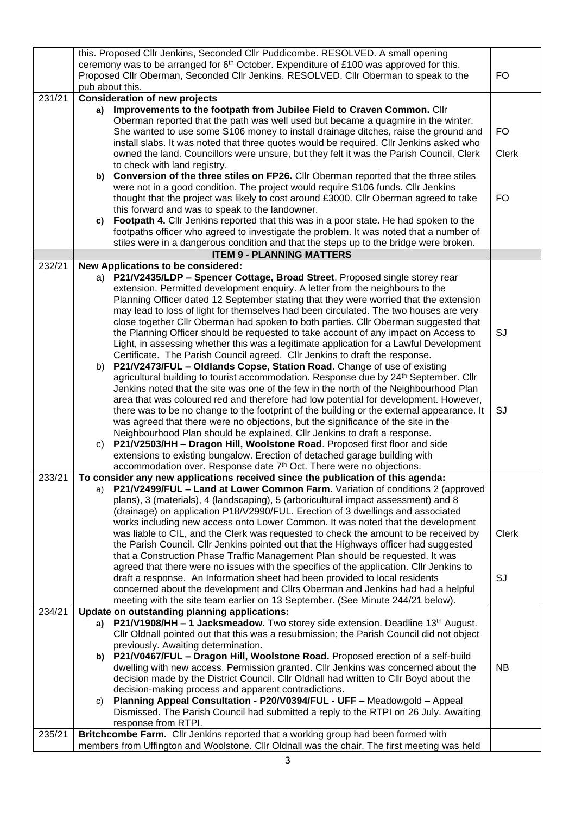|        | this. Proposed Cllr Jenkins, Seconded Cllr Puddicombe. RESOLVED. A small opening<br>ceremony was to be arranged for 6 <sup>th</sup> October. Expenditure of £100 was approved for this. |                                                                                                                                                                                |              |
|--------|-----------------------------------------------------------------------------------------------------------------------------------------------------------------------------------------|--------------------------------------------------------------------------------------------------------------------------------------------------------------------------------|--------------|
|        |                                                                                                                                                                                         | Proposed Cllr Oberman, Seconded Cllr Jenkins. RESOLVED. Cllr Oberman to speak to the                                                                                           | FO           |
|        |                                                                                                                                                                                         | pub about this.                                                                                                                                                                |              |
| 231/21 |                                                                                                                                                                                         | <b>Consideration of new projects</b>                                                                                                                                           |              |
|        |                                                                                                                                                                                         | a) Improvements to the footpath from Jubilee Field to Craven Common. Cllr<br>Oberman reported that the path was well used but became a quagmire in the winter.                 |              |
|        |                                                                                                                                                                                         | She wanted to use some S106 money to install drainage ditches, raise the ground and<br>install slabs. It was noted that three quotes would be required. Cllr Jenkins asked who | FO           |
|        |                                                                                                                                                                                         | owned the land. Councillors were unsure, but they felt it was the Parish Council, Clerk                                                                                        | <b>Clerk</b> |
|        | b)                                                                                                                                                                                      | to check with land registry.<br>Conversion of the three stiles on FP26. Cllr Oberman reported that the three stiles                                                            |              |
|        |                                                                                                                                                                                         | were not in a good condition. The project would require S106 funds. Cllr Jenkins                                                                                               |              |
|        |                                                                                                                                                                                         | thought that the project was likely to cost around £3000. Cllr Oberman agreed to take                                                                                          | FO           |
|        |                                                                                                                                                                                         | this forward and was to speak to the landowner.                                                                                                                                |              |
|        | c)                                                                                                                                                                                      | Footpath 4. Cllr Jenkins reported that this was in a poor state. He had spoken to the                                                                                          |              |
|        |                                                                                                                                                                                         | footpaths officer who agreed to investigate the problem. It was noted that a number of                                                                                         |              |
|        |                                                                                                                                                                                         | stiles were in a dangerous condition and that the steps up to the bridge were broken.<br><b>ITEM 9 - PLANNING MATTERS</b>                                                      |              |
| 232/21 |                                                                                                                                                                                         | New Applications to be considered:                                                                                                                                             |              |
|        |                                                                                                                                                                                         | a) P21/V2435/LDP - Spencer Cottage, Broad Street. Proposed single storey rear                                                                                                  |              |
|        |                                                                                                                                                                                         | extension. Permitted development enquiry. A letter from the neighbours to the                                                                                                  |              |
|        |                                                                                                                                                                                         | Planning Officer dated 12 September stating that they were worried that the extension                                                                                          |              |
|        |                                                                                                                                                                                         | may lead to loss of light for themselves had been circulated. The two houses are very                                                                                          |              |
|        |                                                                                                                                                                                         | close together Cllr Oberman had spoken to both parties. Cllr Oberman suggested that                                                                                            |              |
|        |                                                                                                                                                                                         | the Planning Officer should be requested to take account of any impact on Access to<br>Light, in assessing whether this was a legitimate application for a Lawful Development  | SJ           |
|        |                                                                                                                                                                                         | Certificate. The Parish Council agreed. Cllr Jenkins to draft the response.                                                                                                    |              |
|        | b)                                                                                                                                                                                      | P21/V2473/FUL - Oldlands Copse, Station Road. Change of use of existing                                                                                                        |              |
|        |                                                                                                                                                                                         | agricultural building to tourist accommodation. Response due by 24th September. Cllr                                                                                           |              |
|        |                                                                                                                                                                                         | Jenkins noted that the site was one of the few in the north of the Neighbourhood Plan                                                                                          |              |
|        |                                                                                                                                                                                         | area that was coloured red and therefore had low potential for development. However,                                                                                           |              |
|        |                                                                                                                                                                                         | there was to be no change to the footprint of the building or the external appearance. It<br>was agreed that there were no objections, but the significance of the site in the | SJ           |
|        |                                                                                                                                                                                         | Neighbourhood Plan should be explained. Cllr Jenkins to draft a response.                                                                                                      |              |
|        | C)                                                                                                                                                                                      | P21/V2503/HH - Dragon Hill, Woolstone Road. Proposed first floor and side                                                                                                      |              |
|        |                                                                                                                                                                                         | extensions to existing bungalow. Erection of detached garage building with                                                                                                     |              |
|        |                                                                                                                                                                                         | accommodation over. Response date 7 <sup>th</sup> Oct. There were no objections.                                                                                               |              |
| 233/21 |                                                                                                                                                                                         | To consider any new applications received since the publication of this agenda:<br>P21/V2499/FUL - Land at Lower Common Farm. Variation of conditions 2 (approved              |              |
|        | a)                                                                                                                                                                                      | plans), 3 (materials), 4 (landscaping), 5 (arboricultural impact assessment) and 8                                                                                             |              |
|        |                                                                                                                                                                                         | (drainage) on application P18/V2990/FUL. Erection of 3 dwellings and associated                                                                                                |              |
|        |                                                                                                                                                                                         | works including new access onto Lower Common. It was noted that the development                                                                                                |              |
|        |                                                                                                                                                                                         | was liable to CIL, and the Clerk was requested to check the amount to be received by                                                                                           | <b>Clerk</b> |
|        |                                                                                                                                                                                         | the Parish Council. Cllr Jenkins pointed out that the Highways officer had suggested                                                                                           |              |
|        |                                                                                                                                                                                         | that a Construction Phase Traffic Management Plan should be requested. It was<br>agreed that there were no issues with the specifics of the application. Cllr Jenkins to       |              |
|        |                                                                                                                                                                                         | draft a response. An Information sheet had been provided to local residents                                                                                                    | SJ           |
|        |                                                                                                                                                                                         | concerned about the development and ClIrs Oberman and Jenkins had had a helpful                                                                                                |              |
|        |                                                                                                                                                                                         | meeting with the site team earlier on 13 September. (See Minute 244/21 below).                                                                                                 |              |
| 234/21 |                                                                                                                                                                                         | Update on outstanding planning applications:                                                                                                                                   |              |
|        |                                                                                                                                                                                         | a) P21/V1908/HH - 1 Jacksmeadow. Two storey side extension. Deadline 13th August.                                                                                              |              |
|        |                                                                                                                                                                                         | Cllr Oldnall pointed out that this was a resubmission; the Parish Council did not object<br>previously. Awaiting determination.                                                |              |
|        |                                                                                                                                                                                         | b) P21/V0467/FUL - Dragon Hill, Woolstone Road. Proposed erection of a self-build                                                                                              |              |
|        |                                                                                                                                                                                         | dwelling with new access. Permission granted. Cllr Jenkins was concerned about the                                                                                             | <b>NB</b>    |
|        |                                                                                                                                                                                         | decision made by the District Council. Cllr Oldnall had written to Cllr Boyd about the                                                                                         |              |
|        |                                                                                                                                                                                         | decision-making process and apparent contradictions.                                                                                                                           |              |
|        | C)                                                                                                                                                                                      | Planning Appeal Consultation - P20/V0394/FUL - UFF - Meadowgold - Appeal                                                                                                       |              |
|        |                                                                                                                                                                                         | Dismissed. The Parish Council had submitted a reply to the RTPI on 26 July. Awaiting<br>response from RTPI.                                                                    |              |
| 235/21 |                                                                                                                                                                                         | Britchcombe Farm. Cllr Jenkins reported that a working group had been formed with                                                                                              |              |
|        | members from Uffington and Woolstone. Cllr Oldnall was the chair. The first meeting was held                                                                                            |                                                                                                                                                                                |              |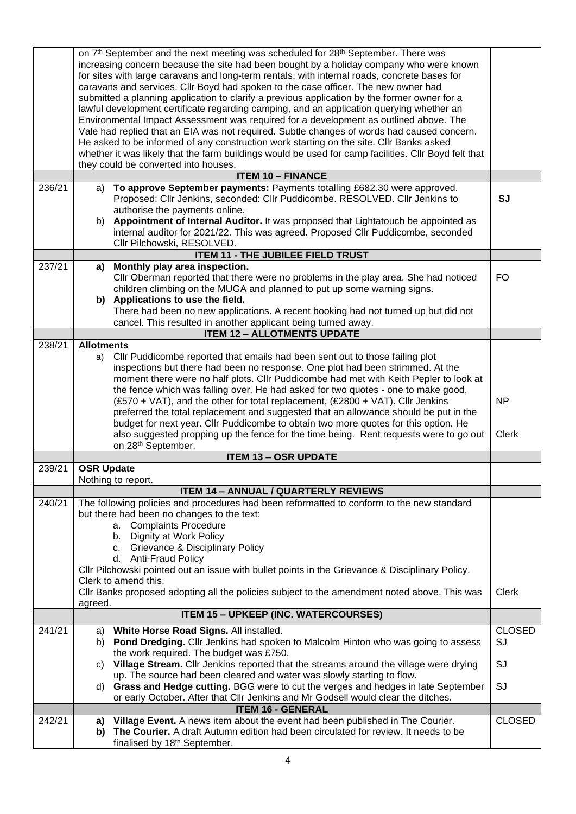|        | on 7th September and the next meeting was scheduled for 28th September. There was<br>increasing concern because the site had been bought by a holiday company who were known<br>for sites with large caravans and long-term rentals, with internal roads, concrete bases for<br>caravans and services. Cllr Boyd had spoken to the case officer. The new owner had<br>submitted a planning application to clarify a previous application by the former owner for a<br>lawful development certificate regarding camping, and an application querying whether an<br>Environmental Impact Assessment was required for a development as outlined above. The<br>Vale had replied that an EIA was not required. Subtle changes of words had caused concern.<br>He asked to be informed of any construction work starting on the site. Cllr Banks asked<br>whether it was likely that the farm buildings would be used for camp facilities. Cllr Boyd felt that<br>they could be converted into houses. |                           |
|--------|--------------------------------------------------------------------------------------------------------------------------------------------------------------------------------------------------------------------------------------------------------------------------------------------------------------------------------------------------------------------------------------------------------------------------------------------------------------------------------------------------------------------------------------------------------------------------------------------------------------------------------------------------------------------------------------------------------------------------------------------------------------------------------------------------------------------------------------------------------------------------------------------------------------------------------------------------------------------------------------------------|---------------------------|
|        | <b>ITEM 10 - FINANCE</b>                                                                                                                                                                                                                                                                                                                                                                                                                                                                                                                                                                                                                                                                                                                                                                                                                                                                                                                                                                         |                           |
| 236/21 | To approve September payments: Payments totalling £682.30 were approved.<br>a)<br>Proposed: Cllr Jenkins, seconded: Cllr Puddicombe. RESOLVED. Cllr Jenkins to<br>authorise the payments online.<br>Appointment of Internal Auditor. It was proposed that Lightatouch be appointed as<br>b)<br>internal auditor for 2021/22. This was agreed. Proposed Cllr Puddicombe, seconded<br>Cllr Pilchowski, RESOLVED.                                                                                                                                                                                                                                                                                                                                                                                                                                                                                                                                                                                   | <b>SJ</b>                 |
|        | <b>ITEM 11 - THE JUBILEE FIELD TRUST</b>                                                                                                                                                                                                                                                                                                                                                                                                                                                                                                                                                                                                                                                                                                                                                                                                                                                                                                                                                         |                           |
| 237/21 | Monthly play area inspection.<br>a)<br>Cllr Oberman reported that there were no problems in the play area. She had noticed<br>children climbing on the MUGA and planned to put up some warning signs.<br>b) Applications to use the field.<br>There had been no new applications. A recent booking had not turned up but did not<br>cancel. This resulted in another applicant being turned away.                                                                                                                                                                                                                                                                                                                                                                                                                                                                                                                                                                                                | <b>FO</b>                 |
|        | <b>ITEM 12 - ALLOTMENTS UPDATE</b>                                                                                                                                                                                                                                                                                                                                                                                                                                                                                                                                                                                                                                                                                                                                                                                                                                                                                                                                                               |                           |
| 238/21 | <b>Allotments</b>                                                                                                                                                                                                                                                                                                                                                                                                                                                                                                                                                                                                                                                                                                                                                                                                                                                                                                                                                                                |                           |
|        | Cllr Puddicombe reported that emails had been sent out to those failing plot<br>a)<br>inspections but there had been no response. One plot had been strimmed. At the<br>moment there were no half plots. Cllr Puddicombe had met with Keith Pepler to look at<br>the fence which was falling over. He had asked for two quotes - one to make good,<br>(£570 + VAT), and the other for total replacement, (£2800 + VAT). Cllr Jenkins<br>preferred the total replacement and suggested that an allowance should be put in the<br>budget for next year. Cllr Puddicombe to obtain two more quotes for this option. He<br>also suggested propping up the fence for the time being. Rent requests were to go out<br>on 28 <sup>th</sup> September.                                                                                                                                                                                                                                                   | <b>NP</b><br><b>Clerk</b> |
|        | <b>ITEM 13 - OSR UPDATE</b>                                                                                                                                                                                                                                                                                                                                                                                                                                                                                                                                                                                                                                                                                                                                                                                                                                                                                                                                                                      |                           |
| 239/21 | <b>OSR Update</b>                                                                                                                                                                                                                                                                                                                                                                                                                                                                                                                                                                                                                                                                                                                                                                                                                                                                                                                                                                                |                           |
|        | Nothing to report.                                                                                                                                                                                                                                                                                                                                                                                                                                                                                                                                                                                                                                                                                                                                                                                                                                                                                                                                                                               |                           |
|        | <b>ITEM 14 - ANNUAL / QUARTERLY REVIEWS</b>                                                                                                                                                                                                                                                                                                                                                                                                                                                                                                                                                                                                                                                                                                                                                                                                                                                                                                                                                      |                           |
| 240/21 | The following policies and procedures had been reformatted to conform to the new standard                                                                                                                                                                                                                                                                                                                                                                                                                                                                                                                                                                                                                                                                                                                                                                                                                                                                                                        |                           |
|        | but there had been no changes to the text:<br>a. Complaints Procedure<br>b. Dignity at Work Policy<br>c. Grievance & Disciplinary Policy<br>d. Anti-Fraud Policy<br>CIIr Pilchowski pointed out an issue with bullet points in the Grievance & Disciplinary Policy.<br>Clerk to amend this.                                                                                                                                                                                                                                                                                                                                                                                                                                                                                                                                                                                                                                                                                                      |                           |
|        | CIIr Banks proposed adopting all the policies subject to the amendment noted above. This was<br>agreed.                                                                                                                                                                                                                                                                                                                                                                                                                                                                                                                                                                                                                                                                                                                                                                                                                                                                                          | Clerk                     |
|        | <b>ITEM 15 - UPKEEP (INC. WATERCOURSES)</b>                                                                                                                                                                                                                                                                                                                                                                                                                                                                                                                                                                                                                                                                                                                                                                                                                                                                                                                                                      |                           |
| 241/21 | White Horse Road Signs. All installed.<br>a)                                                                                                                                                                                                                                                                                                                                                                                                                                                                                                                                                                                                                                                                                                                                                                                                                                                                                                                                                     | <b>CLOSED</b>             |
|        | Pond Dredging. Cllr Jenkins had spoken to Malcolm Hinton who was going to assess<br>b)<br>the work required. The budget was £750.                                                                                                                                                                                                                                                                                                                                                                                                                                                                                                                                                                                                                                                                                                                                                                                                                                                                | SJ                        |
|        | Village Stream. Cllr Jenkins reported that the streams around the village were drying<br>C)<br>up. The source had been cleared and water was slowly starting to flow.                                                                                                                                                                                                                                                                                                                                                                                                                                                                                                                                                                                                                                                                                                                                                                                                                            | SJ                        |
|        | Grass and Hedge cutting. BGG were to cut the verges and hedges in late September<br>d)<br>or early October. After that Cllr Jenkins and Mr Godsell would clear the ditches.                                                                                                                                                                                                                                                                                                                                                                                                                                                                                                                                                                                                                                                                                                                                                                                                                      | SJ                        |
|        | <b>ITEM 16 - GENERAL</b>                                                                                                                                                                                                                                                                                                                                                                                                                                                                                                                                                                                                                                                                                                                                                                                                                                                                                                                                                                         |                           |
| 242/21 | Village Event. A news item about the event had been published in The Courier.<br>a)<br>The Courier. A draft Autumn edition had been circulated for review. It needs to be<br>b)<br>finalised by 18th September.                                                                                                                                                                                                                                                                                                                                                                                                                                                                                                                                                                                                                                                                                                                                                                                  | <b>CLOSED</b>             |